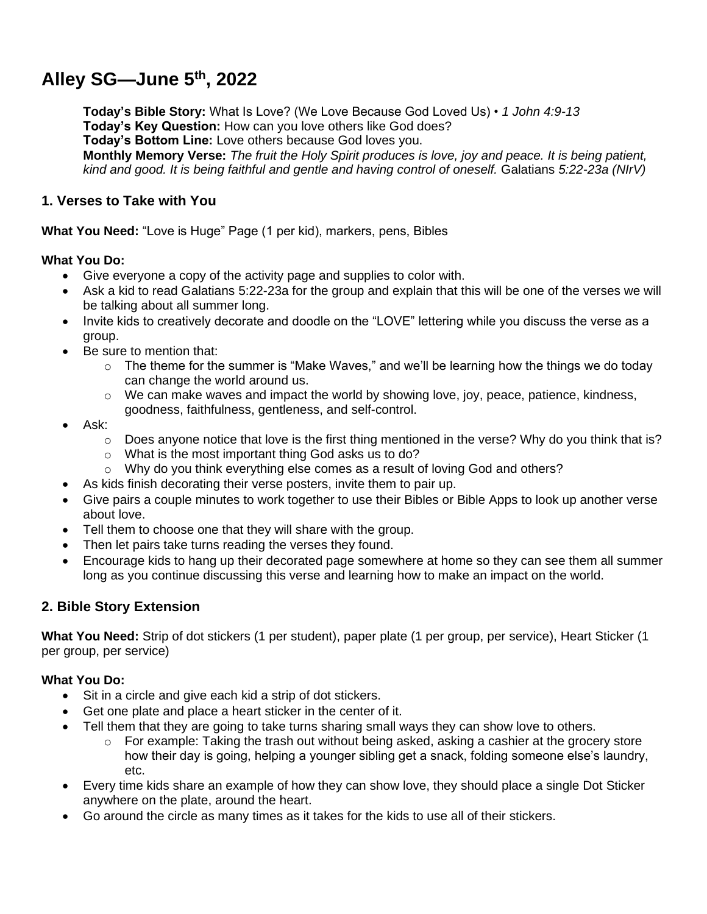# **Alley SG—June 5th, 2022**

**Today's Bible Story:** What Is Love? (We Love Because God Loved Us) • *1 John 4:9-13* **Today's Key Question:** How can you love others like God does? **Today's Bottom Line:** Love others because God loves you. **Monthly Memory Verse:** *The fruit the Holy Spirit produces is love, joy and peace. It is being patient, kind and good. It is being faithful and gentle and having control of oneself.* Galatians *5:22-23a (NIrV)*

### **1. Verses to Take with You**

**What You Need:** "Love is Huge" Page (1 per kid), markers, pens, Bibles

#### **What You Do:**

- Give everyone a copy of the activity page and supplies to color with.
- Ask a kid to read Galatians 5:22-23a for the group and explain that this will be one of the verses we will be talking about all summer long.
- Invite kids to creatively decorate and doodle on the "LOVE" lettering while you discuss the verse as a group.
- Be sure to mention that:
	- $\circ$  The theme for the summer is "Make Waves," and we'll be learning how the things we do today can change the world around us.
	- $\circ$  We can make waves and impact the world by showing love, joy, peace, patience, kindness, goodness, faithfulness, gentleness, and self-control.
- Ask:
	- $\circ$  Does anyone notice that love is the first thing mentioned in the verse? Why do you think that is?
	- o What is the most important thing God asks us to do?
	- o Why do you think everything else comes as a result of loving God and others?
- As kids finish decorating their verse posters, invite them to pair up.
- Give pairs a couple minutes to work together to use their Bibles or Bible Apps to look up another verse about love.
- Tell them to choose one that they will share with the group.
- Then let pairs take turns reading the verses they found.
- Encourage kids to hang up their decorated page somewhere at home so they can see them all summer long as you continue discussing this verse and learning how to make an impact on the world.

# **2. Bible Story Extension**

**What You Need:** Strip of dot stickers (1 per student), paper plate (1 per group, per service), Heart Sticker (1 per group, per service)

#### **What You Do:**

- Sit in a circle and give each kid a strip of dot stickers.
- Get one plate and place a heart sticker in the center of it.
- Tell them that they are going to take turns sharing small ways they can show love to others.
	- $\circ$  For example: Taking the trash out without being asked, asking a cashier at the grocery store how their day is going, helping a younger sibling get a snack, folding someone else's laundry, etc.
- Every time kids share an example of how they can show love, they should place a single Dot Sticker anywhere on the plate, around the heart.
- Go around the circle as many times as it takes for the kids to use all of their stickers.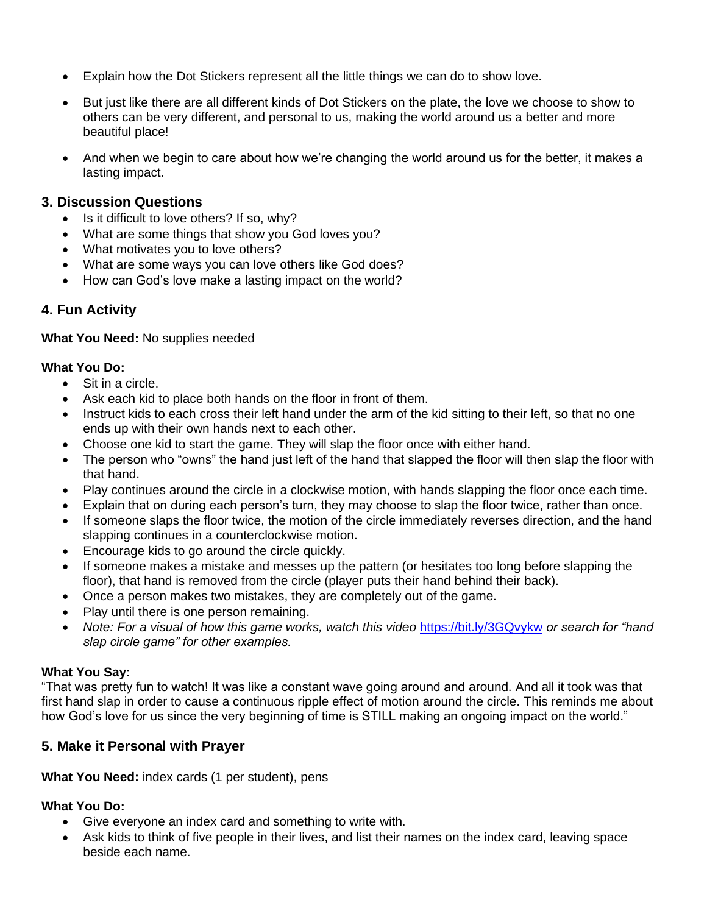- Explain how the Dot Stickers represent all the little things we can do to show love.
- But just like there are all different kinds of Dot Stickers on the plate, the love we choose to show to others can be very different, and personal to us, making the world around us a better and more beautiful place!
- And when we begin to care about how we're changing the world around us for the better, it makes a lasting impact.

#### **3. Discussion Questions**

- Is it difficult to love others? If so, why?
- What are some things that show you God loves you?
- What motivates you to love others?
- What are some ways you can love others like God does?
- How can God's love make a lasting impact on the world?

# **4. Fun Activity**

#### **What You Need:** No supplies needed

#### **What You Do:**

- Sit in a circle.
- Ask each kid to place both hands on the floor in front of them.
- Instruct kids to each cross their left hand under the arm of the kid sitting to their left, so that no one ends up with their own hands next to each other.
- Choose one kid to start the game. They will slap the floor once with either hand.
- The person who "owns" the hand just left of the hand that slapped the floor will then slap the floor with that hand.
- Play continues around the circle in a clockwise motion, with hands slapping the floor once each time.
- Explain that on during each person's turn, they may choose to slap the floor twice, rather than once.
- If someone slaps the floor twice, the motion of the circle immediately reverses direction, and the hand slapping continues in a counterclockwise motion.
- Encourage kids to go around the circle quickly.
- If someone makes a mistake and messes up the pattern (or hesitates too long before slapping the floor), that hand is removed from the circle (player puts their hand behind their back).
- Once a person makes two mistakes, they are completely out of the game.
- Play until there is one person remaining.
- *Note: For a visual of how this game works, watch this video* <https://bit.ly/3GQvykw> *or search for "hand slap circle game" for other examples.*

#### **What You Say:**

"That was pretty fun to watch! It was like a constant wave going around and around. And all it took was that first hand slap in order to cause a continuous ripple effect of motion around the circle. This reminds me about how God's love for us since the very beginning of time is STILL making an ongoing impact on the world."

# **5. Make it Personal with Prayer**

#### **What You Need:** index cards (1 per student), pens

# **What You Do:**

- Give everyone an index card and something to write with.
- Ask kids to think of five people in their lives, and list their names on the index card, leaving space beside each name.